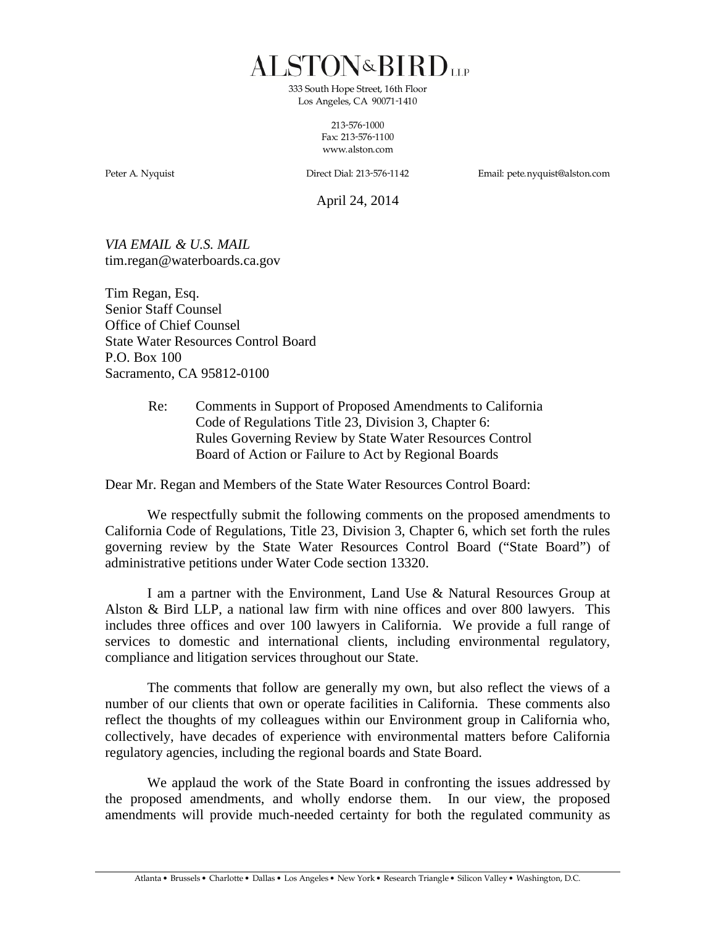ALSTON&BIRD<sub>UP</sub>

*333 South Hope Street, 16th Floor Los Angeles, CA 90071-1410*

> *213-576-1000 Fax: 213-576-1100 www.alston.com*

*Peter A. Nyquist Direct Dial: 213-576-1142 Email: pete.nyquist@alston.com*

April 24, 2014

*VIA EMAIL & U.S. MAIL* [tim.regan@waterboards](mailto:tim.regan@waterboards).ca.gov

Tim Regan, Esq. Senior Staff Counsel Office of Chief Counsel State Water Resources Control Board P.O. Box 100 Sacramento, CA 95812-0100

> Re: Comments in Support of Proposed Amendments to California Code of Regulations Title 23, Division 3, Chapter 6: Rules Governing Review by State Water Resources Control Board of Action or Failure to Act by Regional Boards

Dear Mr. Regan and Members of the State Water Resources Control Board:

We respectfully submit the following comments on the proposed amendments to California Code of Regulations, Title 23, Division 3, Chapter 6, which set forth the rules governing review by the State Water Resources Control Board ("State Board") of administrative petitions under Water Code section 13320.

I am a partner with the Environment, Land Use & Natural Resources Group at Alston & Bird LLP, a national law firm with nine offices and over 800 lawyers. This includes three offices and over 100 lawyers in California. We provide a full range of services to domestic and international clients, including environmental regulatory, compliance and litigation services throughout our State.

The comments that follow are generally my own, but also reflect the views of a number of our clients that own or operate facilities in California. These comments also reflect the thoughts of my colleagues within our Environment group in California who, collectively, have decades of experience with environmental matters before California regulatory agencies, including the regional boards and State Board.

We applaud the work of the State Board in confronting the issues addressed by the proposed amendments, and wholly endorse them. In our view, the proposed amendments will provide much-needed certainty for both the regulated community as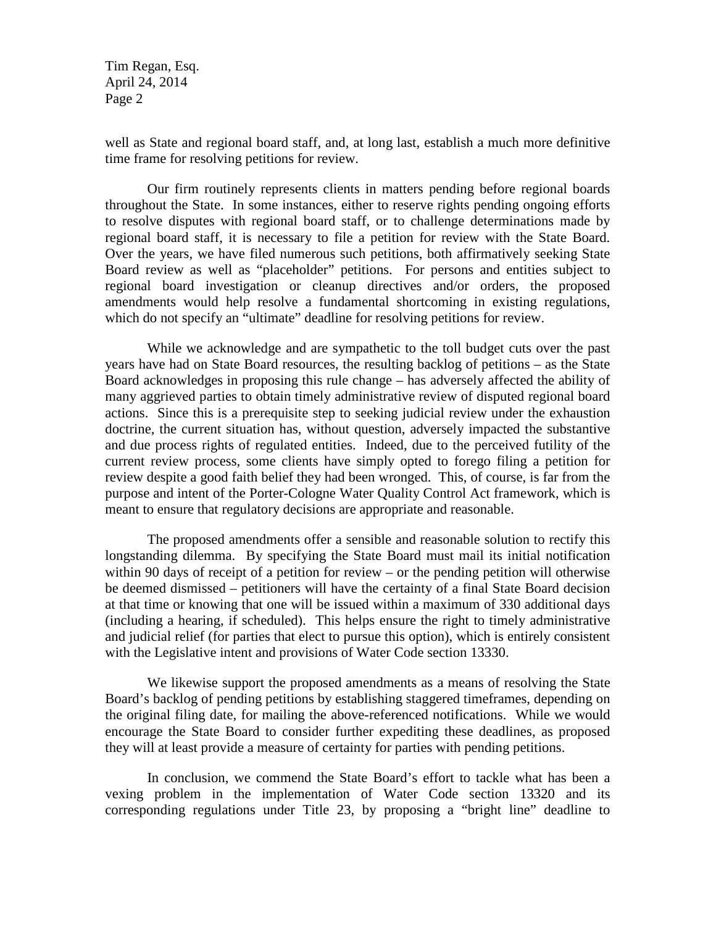Tim Regan, Esq. April 24, 2014 Page 2

well as State and regional board staff, and, at long last, establish a much more definitive time frame for resolving petitions for review.

Our firm routinely represents clients in matters pending before regional boards throughout the State. In some instances, either to reserve rights pending ongoing efforts to resolve disputes with regional board staff, or to challenge determinations made by regional board staff, it is necessary to file a petition for review with the State Board. Over the years, we have filed numerous such petitions, both affirmatively seeking State Board review as well as "placeholder" petitions. For persons and entities subject to regional board investigation or cleanup directives and/or orders, the proposed amendments would help resolve a fundamental shortcoming in existing regulations, which do not specify an "ultimate" deadline for resolving petitions for review.

While we acknowledge and are sympathetic to the toll budget cuts over the past years have had on State Board resources, the resulting backlog of petitions – as the State Board acknowledges in proposing this rule change – has adversely affected the ability of many aggrieved parties to obtain timely administrative review of disputed regional board actions. Since this is a prerequisite step to seeking judicial review under the exhaustion doctrine, the current situation has, without question, adversely impacted the substantive and due process rights of regulated entities. Indeed, due to the perceived futility of the current review process, some clients have simply opted to forego filing a petition for review despite a good faith belief they had been wronged. This, of course, is far from the purpose and intent of the Porter-Cologne Water Quality Control Act framework, which is meant to ensure that regulatory decisions are appropriate and reasonable.

The proposed amendments offer a sensible and reasonable solution to rectify this longstanding dilemma. By specifying the State Board must mail its initial notification within 90 days of receipt of a petition for review – or the pending petition will otherwise be deemed dismissed – petitioners will have the certainty of a final State Board decision at that time or knowing that one will be issued within a maximum of 330 additional days (including a hearing, if scheduled). This helps ensure the right to timely administrative and judicial relief (for parties that elect to pursue this option), which is entirely consistent with the Legislative intent and provisions of Water Code section 13330.

We likewise support the proposed amendments as a means of resolving the State Board's backlog of pending petitions by establishing staggered timeframes, depending on the original filing date, for mailing the above-referenced notifications. While we would encourage the State Board to consider further expediting these deadlines, as proposed they will at least provide a measure of certainty for parties with pending petitions.

In conclusion, we commend the State Board's effort to tackle what has been a vexing problem in the implementation of Water Code section 13320 and its corresponding regulations under Title 23, by proposing a "bright line" deadline to